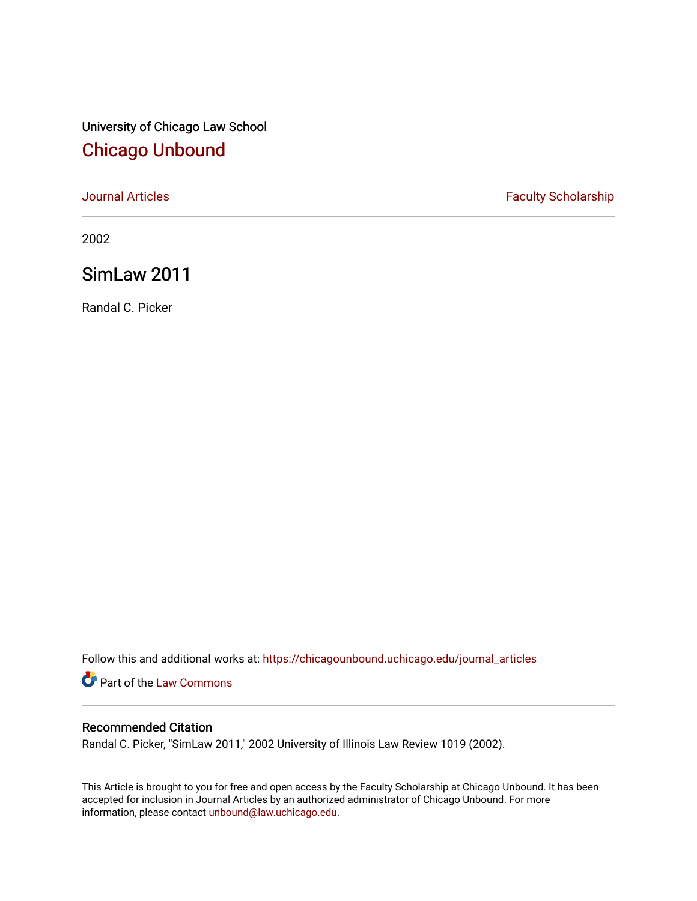# University of Chicago Law School [Chicago Unbound](https://chicagounbound.uchicago.edu/)

[Journal Articles](https://chicagounbound.uchicago.edu/journal_articles) **Faculty Scholarship Faculty Scholarship** 

2002

# SimLaw 2011

Randal C. Picker

Follow this and additional works at: [https://chicagounbound.uchicago.edu/journal\\_articles](https://chicagounbound.uchicago.edu/journal_articles?utm_source=chicagounbound.uchicago.edu%2Fjournal_articles%2F1721&utm_medium=PDF&utm_campaign=PDFCoverPages) 

**Part of the [Law Commons](http://network.bepress.com/hgg/discipline/578?utm_source=chicagounbound.uchicago.edu%2Fjournal_articles%2F1721&utm_medium=PDF&utm_campaign=PDFCoverPages)** 

## Recommended Citation

Randal C. Picker, "SimLaw 2011," 2002 University of Illinois Law Review 1019 (2002).

This Article is brought to you for free and open access by the Faculty Scholarship at Chicago Unbound. It has been accepted for inclusion in Journal Articles by an authorized administrator of Chicago Unbound. For more information, please contact [unbound@law.uchicago.edu](mailto:unbound@law.uchicago.edu).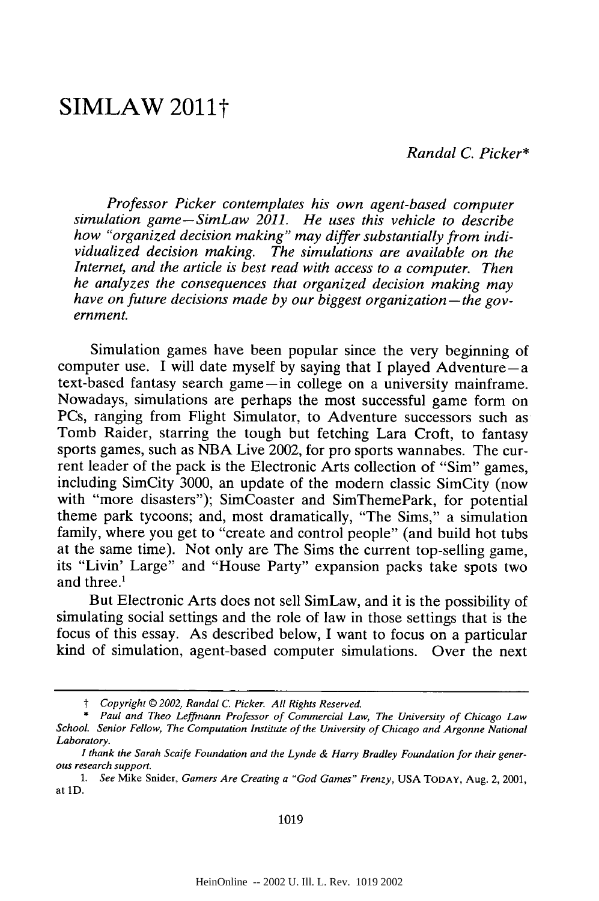# **SIMLAW 2011t**

*Randal C. Picker\**

*Professor Picker contemplates his own agent-based computer simulation game-SimLaw 2011. He uses this vehicle to describe how "organized decision making" may differ substantially from individualized decision making. The simulations are available on the Internet, and the article is best read with access to a computer. Then he analyzes the consequences that organized decision making may have on future decisions made by our biggest organization-the government.*

Simulation games have been popular since the very beginning of computer use. I will date myself by saying that I played Adventure $-a$ text-based fantasy search game-in college on a university mainframe. Nowadays, simulations are perhaps the most successful game form on PCs, ranging from Flight Simulator, to Adventure successors such as Tomb Raider, starring the tough but fetching Lara Croft, to fantasy sports games, such as NBA Live 2002, for pro sports wannabes. The current leader of the pack is the Electronic Arts collection of "Sim" games, including SimCity 3000, an update of the modem classic SimCity (now with "more disasters"); SimCoaster and SimThemePark, for potential theme park tycoons; and, most dramatically, "The Sims," a simulation family, where you get to "create and control people" (and build hot tubs at the same time). Not only are The Sims the current top-selling game, its "Livin' Large" and "House Party" expansion packs take spots two and three.'

But Electronic Arts does not sell SimLaw, and it is the possibility of simulating social settings and the role of law in those settings that is the focus of this essay. As described below, I want to focus on a particular kind of simulation, agent-based computer simulations. Over the next

1019

t *Copyright © 2002, Randal C. Picker. All Rights Reserved.*

<sup>\*</sup> Paul and *Theo Leffmann Professor of Commercial Law, The University of Chicago Law School. Senior Fellow, The Computation Institute of the University of Chicago and Argonne National Laboratory.*

*I thank the Sarah Scaife Foundation and the Lynde & Harry Bradley Foundation for their generous research support.*

*<sup>1.</sup> See* Mike Snider, *Gamers Are Creating a "God Games" Frenzy,* USA TODAY, Aug. 2, 2001, at **1D.**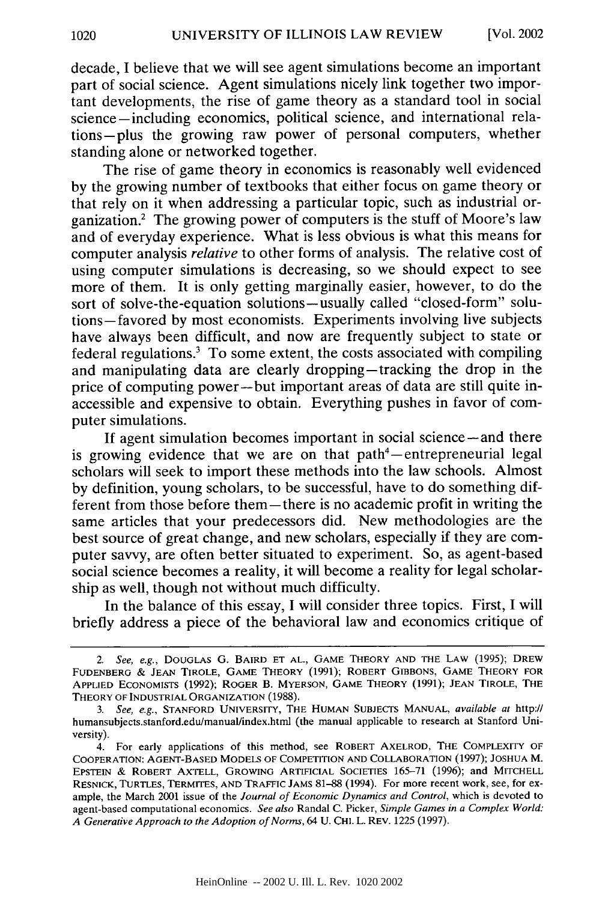decade, I believe that we will see agent simulations become an important part of social science. Agent simulations nicely link together two important developments, the rise of game theory as a standard tool in social science-including economics, political science, and international relations-plus the growing raw power of personal computers, whether standing alone or networked together.

The rise of game theory in economics is reasonably well evidenced by the growing number of textbooks that either focus on game theory or that rely on it when addressing a particular topic, such as industrial organization.2 The growing power of computers is the stuff of Moore's law and of everyday experience. What is less obvious is what this means for computer analysis *relative* to other forms of analysis. The relative cost of using computer simulations is decreasing, so we should expect to see more of them. It is only getting marginally easier, however, to do the sort of solve-the-equation solutions-usually called "closed-form" solutions-favored by most economists. Experiments involving live subjects have always been difficult, and now are frequently subject to state or federal regulations.' To some extent, the costs associated with compiling and manipulating data are clearly dropping-tracking the drop in the price of computing power-but important areas of data are still quite inaccessible and expensive to obtain. Everything pushes in favor of computer simulations.

If agent simulation becomes important in social science – and there is growing evidence that we are on that  $path<sup>4</sup>$ -entrepreneurial legal scholars will seek to import these methods into the law schools. Almost by definition, young scholars, to be successful, have to do something different from those before them-there is no academic profit in writing the same articles that your predecessors did. New methodologies are the best source of great change, and new scholars, especially if they are computer savvy, are often better situated to experiment. So, as agent-based social science becomes a reality, it will become a reality for legal scholarship as well, though not without much difficulty.

In the balance of this essay, I will consider three topics. First, I will briefly address a piece of the behavioral law and economics critique of

*<sup>2.</sup> See, e.g.,* DOUGLAS **G.** BAIRD **ET AL., GAME** THEORY **AND THE** LAW (1995); DREW **FUDENBERG** *&* **JEAN** TIROLE, GAME THEORY **(1991);** ROBERT GIBBONS, GAME THEORY FOR APPLIED **ECONOMISTS** (1992); ROGER B. MYERSON, GAME THEORY (1991); **JEAN** TIROLE, THE THEORY OF INDUSTRIAL ORGANIZATION (1988).

*<sup>3.</sup> See, e.g.,* **STANFORD** UNIVERSITY, THE HUMAN **SUBJECTS MANUAL,** *available at* http:// humansubjects.stanford.edu/manualindex.html (the manual applicable to research at Stanford University).

<sup>4.</sup> For early applications of this method, see ROBERT AXELROD, THE COMPLEXITY OF COOPERATION: **AGENT-BASED MODELS OF** COMPETITION **AND** COLLABORATION (1997); **JOSHUA** M. EPSTEIN & ROBERT AXTELL, GROWING ARTIFICIAL **SOCIETIES** 165-71 (1996); and MITCHELL RESNICK, **TURTLES,** TERMITES, **AND** TRAFFIC JAMS 81-88 (1994). For more recent work, see, for example, the March 2001 issue of the *Journal of Economic Dynamics and Control,* which is devoted to agent-based computational economics. *See also* Randal C. Picker, *Simple Games in a Complex World: A Generative Approach to the Adoption of Norms,* 64 U. CHI. L. REV. 1225 (1997).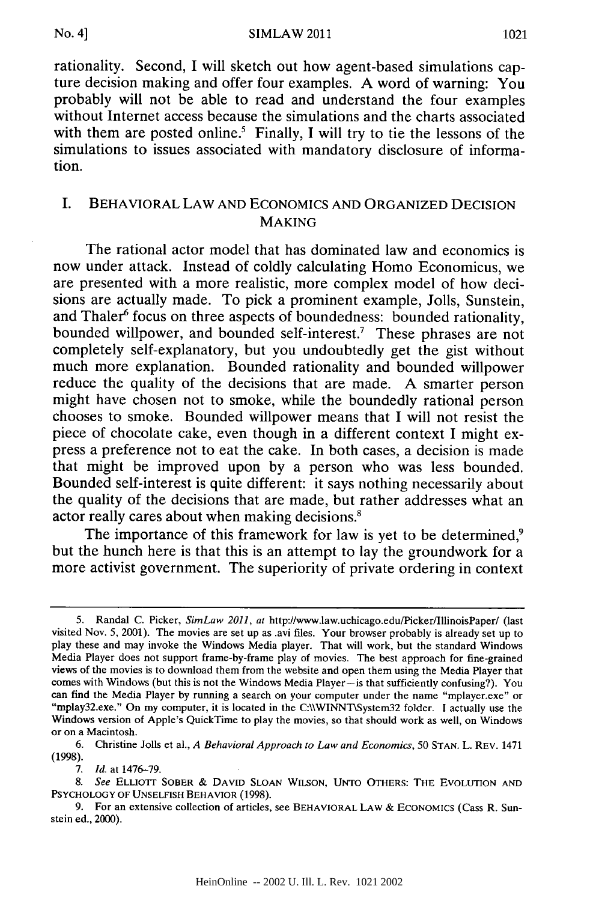SIMLAW 2011

rationality. Second, I will sketch out how agent-based simulations capture decision making and offer four examples. A word of warning: You probably will not be able to read and understand the four examples without Internet access because the simulations and the charts associated with them are posted online.<sup>5</sup> Finally, I will try to tie the lessons of the simulations to issues associated with mandatory disclosure of information.

## I. BEHAVIORAL LAW **AND ECONOMICS AND** ORGANIZED **DECISION** MAKING

The rational actor model that has dominated law and economics is now under attack. Instead of coldly calculating Homo Economicus, we are presented with a more realistic, more complex model of how decisions are actually made. To pick a prominent example, Jolls, Sunstein, and Thaler<sup>6</sup> focus on three aspects of boundedness: bounded rationality, bounded willpower, and bounded self-interest.7 These phrases are not completely self-explanatory, but you undoubtedly get the gist without much more explanation. Bounded rationality and bounded willpower reduce the quality of the decisions that are made. A smarter person might have chosen not to smoke, while the boundedly rational person chooses to smoke. Bounded willpower means that I will not resist the piece of chocolate cake, even though in a different context I might express a preference not to eat the cake. In both cases, a decision is made that might be improved upon by a person who was less bounded. Bounded self-interest is quite different: it says nothing necessarily about the quality of the decisions that are made, but rather addresses what an actor really cares about when making decisions.'

The importance of this framework for law is yet to be determined,<sup>9</sup> but the hunch here is that this is an attempt to lay the groundwork for a more activist government. The superiority of private ordering in context

<sup>5.</sup> Randal C. Picker, *SimLaw 2011, at* http://www.law.uchicago.edu/Picker/IllinoisPaper/ (last visited Nov. 5, 2001). The movies are set up as avi files. Your browser probably is already set up to play these and may invoke the Windows Media player. That will work, but the standard Windows Media Player does not support frame-by-frame play of movies. The best approach for fine-grained views of the movies is to download them from the website and open them using the Media Player that comes with Windows (but this is not the Windows Media Player—is that sufficiently confusing?). You can find the Media Player by running a search on your computer under the name "mplayer.exe" or "mplay32.exe." On my compute Windows version of Apple's QuickTime to play the movies, so that should work as well, on Windows or on a Macintosh.

<sup>6.</sup> Christine Jolls et al., *A Behavioral Approach to Law and Economics,* 50 **STAN.** L. REV. 1471 (1998).

**<sup>7.</sup>** *Id.* at 1476-79.

*<sup>8.</sup> See* **ELLIOTT** SOBER **& DAVID SLOAN** WILSON, **UNTO** OTHERS: **THE** EVOLUTION **AND** PSYCHOLOGY OF **UNSELFISH** BEHAVIOR (1998).

<sup>9.</sup> For an extensive collection of articles, see BEHAVIORAL LAW **&** ECONOMICS (Cass R. Sunstein ed., 2000).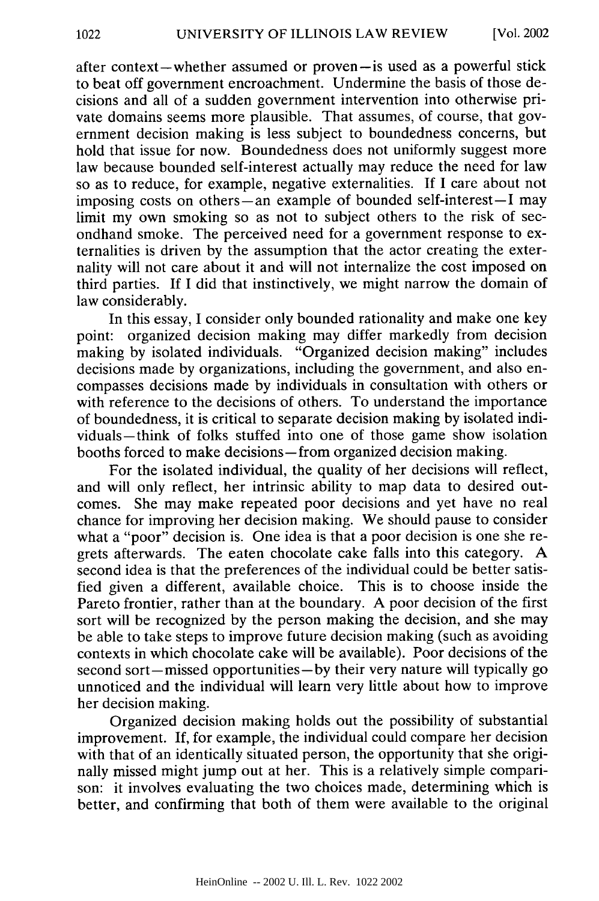after context-whether assumed or proven-is used as a powerful stick to beat off government encroachment. Undermine the basis of those decisions and all of a sudden government intervention into otherwise private domains seems more plausible. That assumes, of course, that government decision making is less subject to boundedness concerns, but hold that issue for now. Boundedness does not uniformly suggest more law because bounded self-interest actually may reduce the need for law so as to reduce, for example, negative externalities. If I care about not imposing costs on others-an example of bounded self-interest-I may limit my own smoking so as not to subject others to the risk of secondhand smoke. The perceived need for a government response to externalities is driven by the assumption that the actor creating the externality will not care about it and will not internalize the cost imposed on third parties. If I did that instinctively, we might narrow the domain of law considerably.

In this essay, I consider only bounded rationality and make one key point: organized decision making may differ markedly from decision making by isolated individuals. "Organized decision making" includes decisions made by organizations, including the government, and also encompasses decisions made by individuals in consultation with others or with reference to the decisions of others. To understand the importance of boundedness, it is critical to separate decision making by isolated individuals-think of folks stuffed into one of those game show isolation booths forced to make decisions-from organized decision making.

For the isolated individual, the quality of her decisions will reflect, and will only reflect, her intrinsic ability to map data to desired outcomes. She may make repeated poor decisions and yet have no real chance for improving her decision making. We should pause to consider what a "poor" decision is. One idea is that a poor decision is one she regrets afterwards. The eaten chocolate cake falls into this category. A second idea is that the preferences of the individual could be better satisfied given a different, available choice. This is to choose inside the Pareto frontier, rather than at the boundary. A poor decision of the first sort will be recognized by the person making the decision, and she may be able to take steps to improve future decision making (such as avoiding contexts in which chocolate cake will be available). Poor decisions of the second sort-missed opportunities-by their very nature will typically go unnoticed and the individual will learn very little about how to improve her decision making.

Organized decision making holds out the possibility of substantial improvement. If, for example, the individual could compare her decision with that of an identically situated person, the opportunity that she originally missed might jump out at her. This is a relatively simple comparison: it involves evaluating the two choices made, determining which is better, and confirming that both of them were available to the original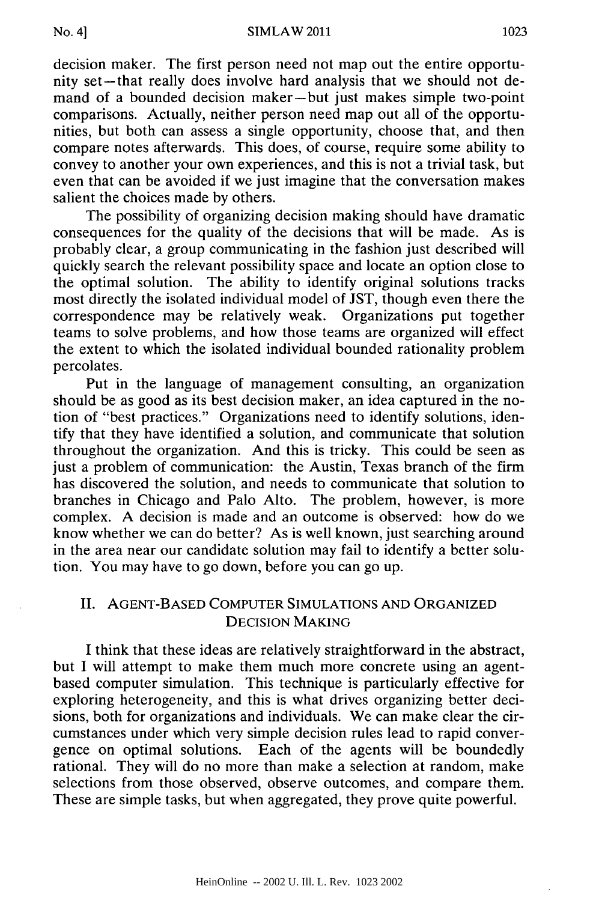decision maker. The first person need not map out the entire opportunity set-that really does involve hard analysis that we should not demand of a bounded decision maker-but just makes simple two-point comparisons. Actually, neither person need map out all of the opportunities, but both can assess a single opportunity, choose that, and then compare notes afterwards. This does, of course, require some ability to convey to another your own experiences, and this is not a trivial task, but even that can be avoided if we just imagine that the conversation makes salient the choices made by others.

The possibility of organizing decision making should have dramatic consequences for the quality of the decisions that will be made. As is probably clear, a group communicating in the fashion just described will quickly search the relevant possibility space and locate an option close to the optimal solution. The ability to identify original solutions tracks most directly the isolated individual model of JST, though even there the correspondence may be relatively weak. Organizations put together teams to solve problems, and how those teams are organized will effect the extent to which the isolated individual bounded rationality problem percolates.

Put in the language of management consulting, an organization should be as good as its best decision maker, an idea captured in the notion of "best practices." Organizations need to identify solutions, identify that they have identified a solution, and communicate that solution throughout the organization. And this is tricky. This could be seen as just a problem of communication: the Austin, Texas branch of the firm has discovered the solution, and needs to communicate that solution to branches in Chicago and Palo Alto. The problem, however, is more complex. A decision is made and an outcome is observed: how do we know whether we can do better? As is well known, just searching around in the area near our candidate solution may fail to identify a better solution. You may have to go down, before you can go up.

### II. **AGENT-BASED** COMPUTER **SIMULATIONS AND** ORGANIZED **DECISION MAKING**

I think that these ideas are relatively straightforward in the abstract, but I will attempt to make them much more concrete using an agentbased computer simulation. This technique is particularly effective for exploring heterogeneity, and this is what drives organizing better decisions, both for organizations and individuals. We can make clear the circumstances under which very simple decision rules lead to rapid convergence on optimal solutions. Each of the agents will be boundedly rational. They will do no more than make a selection at random, make selections from those observed, observe outcomes, and compare them. These are simple tasks, but when aggregated, they prove quite powerful.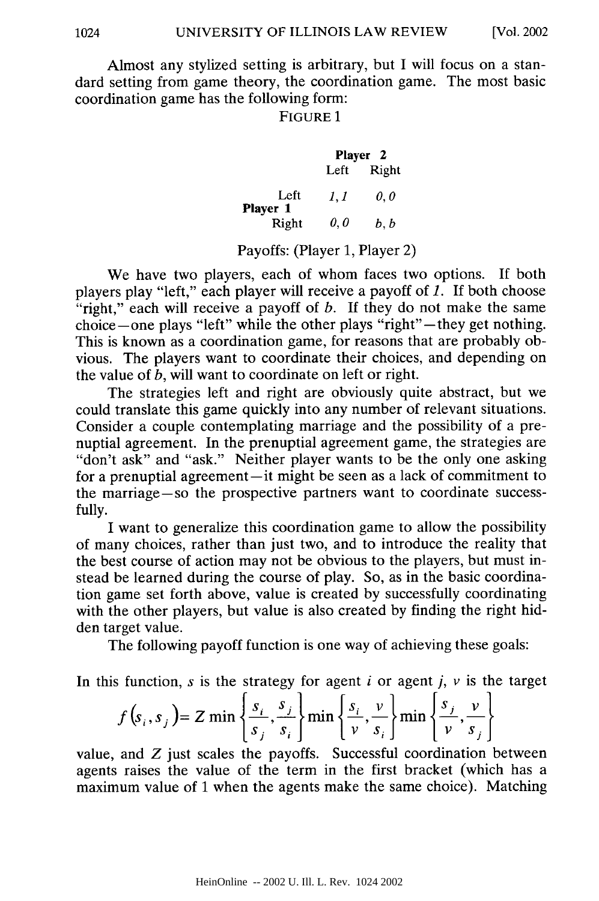Almost any stylized setting is arbitrary, but I will focus on a standard setting from game theory, the coordination game. The most basic coordination game has the following form:

#### FIGURE 1

|                  | Player <sub>2</sub> |       |  |
|------------------|---------------------|-------|--|
|                  | Left                | Right |  |
| Left<br>Player 1 | 1. 1                | 0.0   |  |
| Right            | 0,0                 | b. b  |  |

Payoffs: (Player 1, Player 2)

We have two players, each of whom faces two options. If both players play "left," each player will receive a payoff of *1.* If both choose "right," each will receive a payoff of *b*. If they do not make the same choice-one plays "left" while the other plays "right"-they get nothing. This is known as a coordination game, for reasons that are probably obvious. The players want to coordinate their choices, and depending on the value of *b,* will want to coordinate on left or right.

The strategies left and right are obviously quite abstract, but we could translate this game quickly into any number of relevant situations. Consider a couple contemplating marriage and the possibility of a prenuptial agreement. In the prenuptial agreement game, the strategies are "don't ask" and "ask." Neither player wants to be the only one asking for a prenuptial agreement—it might be seen as a lack of commitment to the marriage-so the prospective partners want to coordinate successfully.

I want to generalize this coordination game to allow the possibility of many choices, rather than just two, and to introduce the reality that the best course of action may not be obvious to the players, but must instead be learned during the course of play. So, as in the basic coordination game set forth above, value is created by successfully coordinating with the other players, but value is also created by finding the right hidden target value.

The following payoff function is one way of achieving these goals:

In this function,  $s$  is the strategy for agent  $i$  or agent  $j$ ,  $v$  is the targe

$$
f(s_i, s_j) = Z \min \left\{ \frac{s_i}{s_j}, \frac{s_j}{s_i} \right\} \min \left\{ \frac{s_i}{\nu}, \frac{\nu}{s_i} \right\} \min \left\{ \frac{s_j}{\nu}, \frac{\nu}{s_j} \right\}
$$

value, and Z just scales the payoffs. Successful coordination between agents raises the value of the term in the first bracket (which has a maximum value of 1 when the agents make the same choice). Matching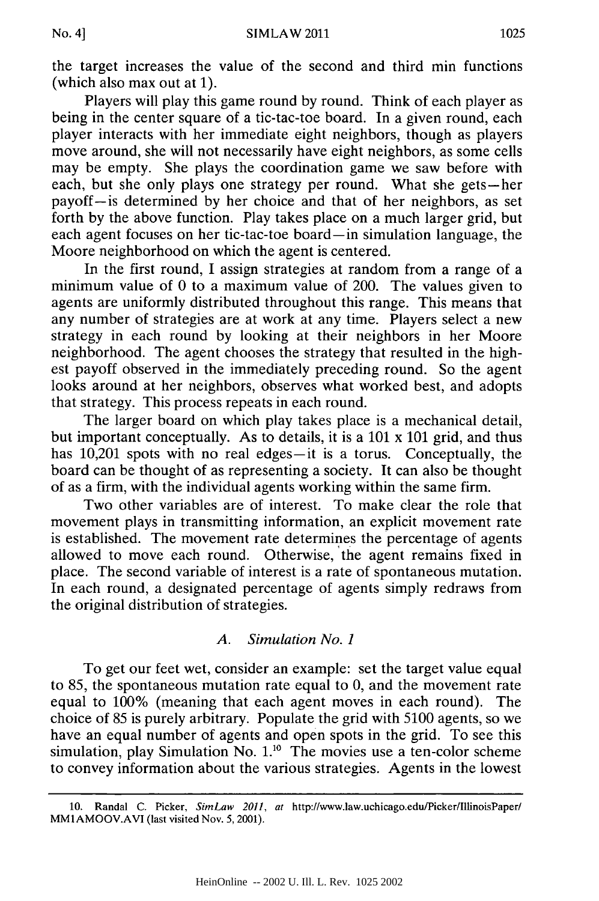the target increases the value of the second and third min functions (which also max out at 1).

Players will play this game round by round. Think of each player as being in the center square of a tic-tac-toe board. In a given round, each player interacts with her immediate eight neighbors, though as players move around, she will not necessarily have eight neighbors, as some cells may be empty. She plays the coordination game we saw before with each, but she only plays one strategy per round. What she gets-her payoff-is determined by her choice and that of her neighbors, as set forth by the above function. Play takes place on a much larger grid, but each agent focuses on her tic-tac-toe board-in simulation language, the Moore neighborhood on which the agent is centered.

In the first round, I assign strategies at random from a range of a minimum value of 0 to a maximum value of 200. The values given to agents are uniformly distributed throughout this range. This means that any number of strategies are at work at any time. Players select a new strategy in each round by looking at their neighbors in her Moore neighborhood. The agent chooses the strategy that resulted in the highest payoff observed in the immediately preceding round. So the agent looks around at her neighbors, observes what worked best, and adopts that strategy. This process repeats in each round.

The larger board on which play takes place is a mechanical detail, but important conceptually. As to details, it is a 101 x 101 grid, and thus has 10,201 spots with no real edges-it is a torus. Conceptually, the board can be thought of as representing a society. It can also be thought of as a firm, with the individual agents working within the same firm.

Two other variables are of interest. To make clear the role that movement plays in transmitting information, an explicit movement rate is established. The movement rate determines the percentage of agents allowed to move each round. Otherwise, the agent remains fixed in place. The second variable of interest is a rate of spontaneous mutation. In each round, a designated percentage of agents simply redraws from the original distribution of strategies.

#### *A. Simulation No. 1*

To get our feet wet, consider an example: set the target value equal to 85, the spontaneous mutation rate equal to 0, and the movement rate equal to 100% (meaning that each agent moves in each round). The choice of 85 is purely arbitrary. Populate the grid with 5100 agents, so we have an equal number of agents and open spots in the grid. To see this simulation, play Simulation No.  $1^{10}$  The movies use a ten-color scheme to convey information about the various strategies. Agents in the lowest

<sup>10.</sup> Randal C. Picker, *SimLaw 2011, at* http://www.law.uchicago.edu/Picker/IllinoisPaper/ MM1AMOOV.AVI (last visited Nov. 5, 2001).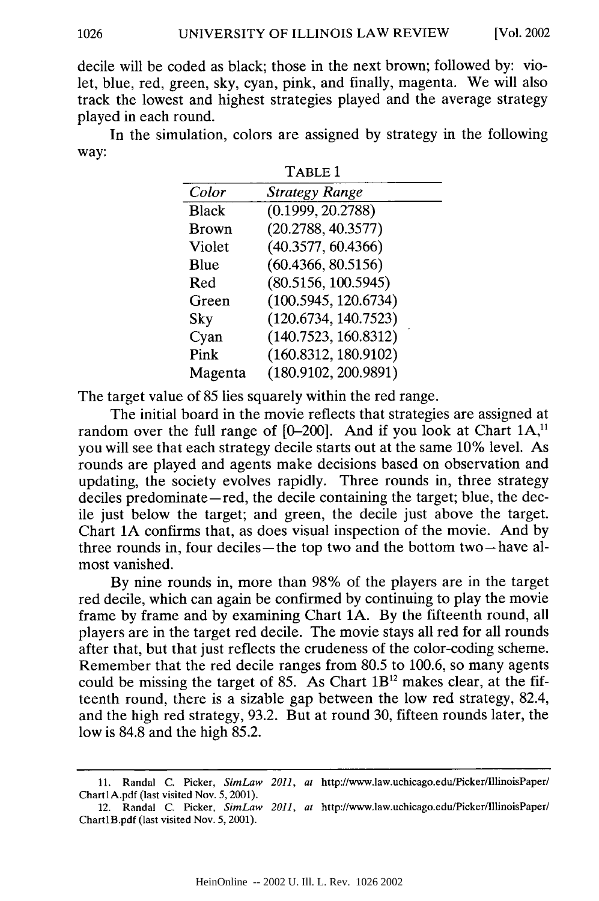decile will be coded as black; those in the next brown; followed by: violet, blue, red, green, sky, cyan, pink, and finally, magenta. We will also track the lowest and highest strategies played and the average strategy played in each round.

In the simulation, colors are assigned by strategy in the following way: TABLE 1

|              | 1 ADUD 1              |
|--------------|-----------------------|
| Color        | <b>Strategy Range</b> |
| <b>Black</b> | (0.1999, 20.2788)     |
| <b>Brown</b> | (20.2788, 40.3577)    |
| Violet       | (40.3577, 60.4366)    |
| Blue         | (60.4366, 80.5156)    |
| Red          | (80.5156, 100.5945)   |
| Green        | (100.5945, 120.6734)  |
| Sky          | (120.6734, 140.7523)  |
| Cyan         | (140.7523, 160.8312)  |
| Pink         | (160.8312, 180.9102)  |
| Magenta      | (180.9102, 200.9891)  |

The target value of 85 lies squarely within the red range.

The initial board in the movie reflects that strategies are assigned at random over the full range of [0-200]. And if you look at Chart 1A,<sup>11</sup> you will see that each strategy decile starts out at the same 10% level. As rounds are played and agents make decisions based on observation and updating, the society evolves rapidly. Three rounds in, three strategy deciles predominate—red, the decile containing the target; blue, the decile just below the target; and green, the decile just above the target. Chart **1A** confirms that, as does visual inspection of the movie. And by three rounds in, four deciles-the top two and the bottom two-have almost vanished.

By nine rounds in, more than 98% of the players are in the target red decile, which can again be confirmed by continuing to play the movie frame by frame and by examining Chart **1A.** By the fifteenth round, all players are in the target red decile. The movie stays all red for all rounds after that, but that just reflects the crudeness of the color-coding scheme. Remember that the red decile ranges from 80.5 to 100.6, so many agents could be missing the target of 85. As Chart  $1B^{12}$  makes clear, at the fifteenth round, there is a sizable gap between the low red strategy, 82.4, and the high red strategy, 93.2. But at round 30, fifteen rounds later, the low is 84.8 and the high 85.2.

<sup>11.</sup> Randal C. Picker, *SimLaw 2011, at* http://www.law.uchicago.edu/Picker/IllinoisPaper/ ChartlA.pdf (last visited Nov. 5, 2001).

<sup>12.</sup> Randal C. Picker, *SimLaw 2011, at* http://www.law.uchicago.edu/Picker/IllinoisPaper/ ChartlB.pdf (last visited Nov. 5, 2001).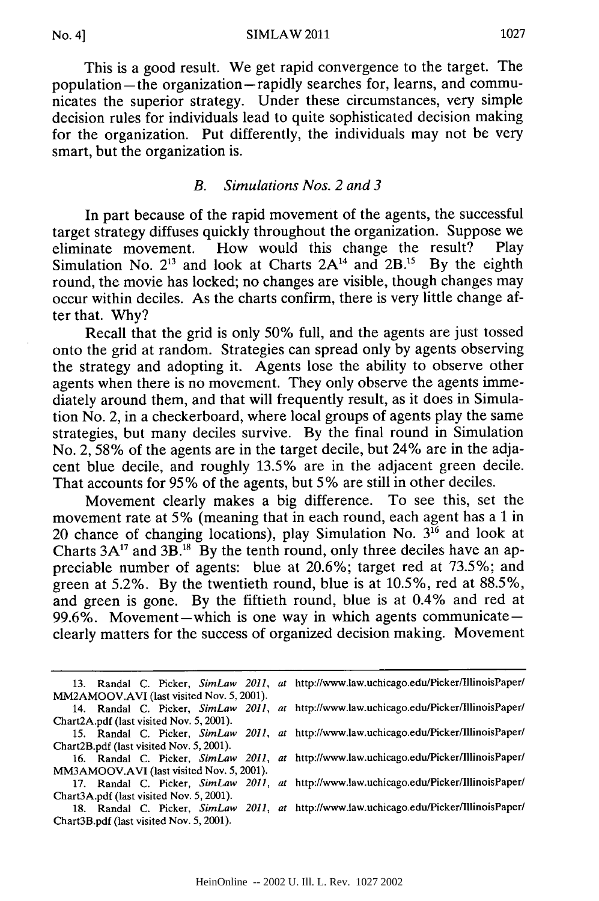This is a good result. We get rapid convergence to the target. The population-the organization-rapidly searches for, learns, and communicates the superior strategy. Under these circumstances, very simple decision rules for individuals lead to quite sophisticated decision making for the organization. Put differently, the individuals may not be very smart, but the organization is.

#### *B. Simulations Nos. 2 and 3*

In part because of the rapid movement of the agents, the successful target strategy diffuses quickly throughout the organization. Suppose we eliminate movement. How would this change the result? Play Simulation No.  $2^{13}$  and look at Charts  $2A^{14}$  and  $2B^{15}$  By the eighth round, the movie has locked; no changes are visible, though changes may occur within deciles. As the charts confirm, there is very little change after that. Why?

Recall that the grid is only 50% full, and the agents are just tossed onto the grid at random. Strategies can spread only by agents observing the strategy and adopting it. Agents lose the ability to observe other agents when there is no movement. They only observe the agents immediately around them, and that will frequently result, as it does in Simulation No. 2, in a checkerboard, where local groups of agents play the same strategies, but many deciles survive. By the final round in Simulation No. 2, 58% of the agents are in the target decile, but 24% are in the adjacent blue decile, and roughly 13.5% are in the adjacent green decile. That accounts for 95% of the agents, but 5% are still in other deciles.

Movement clearly makes a big difference. To see this, set the movement rate at 5% (meaning that in each round, each agent has a 1 in 20 chance of changing locations), play Simulation No. **316** and look at Charts  $3A^{17}$  and  $3B^{18}$ . By the tenth round, only three deciles have an appreciable number of agents: blue at 20.6%; target red at 73.5%; and green at 5.2%. By the twentieth round, blue is at 10.5%, red at 88.5%, and green is gone. By the fiftieth round, blue is at 0.4% and red at 99.6%. Movement-which is one way in which agents communicateclearly matters for the success of organized decision making. Movement

|                                           |                                          |  |  |                                           |  |  | 13. Randal C. Picker, SimLaw 2011, at http://www.law.uchicago.edu/Picker/IllinoisPaper/ |
|-------------------------------------------|------------------------------------------|--|--|-------------------------------------------|--|--|-----------------------------------------------------------------------------------------|
|                                           |                                          |  |  | MM2AMOOV.AVI (last visited Nov. 5, 2001). |  |  |                                                                                         |
|                                           |                                          |  |  |                                           |  |  | 14. Randal C. Picker, SimLaw 2011, at http://www.law.uchicago.edu/Picker/IllinoisPaper/ |
|                                           | Chart2A.pdf (last visited Nov. 5, 2001). |  |  |                                           |  |  |                                                                                         |
|                                           |                                          |  |  |                                           |  |  | 15. Randal C. Picker, SimLaw 2011, at http://www.law.uchicago.edu/Picker/IllinoisPaper/ |
|                                           | Chart2B.pdf (last visited Nov. 5, 2001). |  |  |                                           |  |  |                                                                                         |
|                                           |                                          |  |  |                                           |  |  | 16. Randal C. Picker, SimLaw 2011, at http://www.law.uchicago.edu/Picker/IllinoisPaper/ |
| MM3AMOOV.AVI (last visited Nov. 5, 2001). |                                          |  |  |                                           |  |  |                                                                                         |
|                                           |                                          |  |  |                                           |  |  | 17. Randal C. Picker, SimLaw 2011, at http://www.law.uchicago.edu/Picker/IllinoisPaper/ |
|                                           | Chart3A.pdf (last visited Nov. 5, 2001). |  |  |                                           |  |  |                                                                                         |
|                                           |                                          |  |  |                                           |  |  | 18. Randal C. Picker, SimLaw 2011, at http://www.law.uchicago.edu/Picker/IllinoisPaper/ |
|                                           | Chart3B.pdf (last visited Nov. 5, 2001). |  |  |                                           |  |  |                                                                                         |
|                                           |                                          |  |  |                                           |  |  |                                                                                         |
|                                           |                                          |  |  |                                           |  |  |                                                                                         |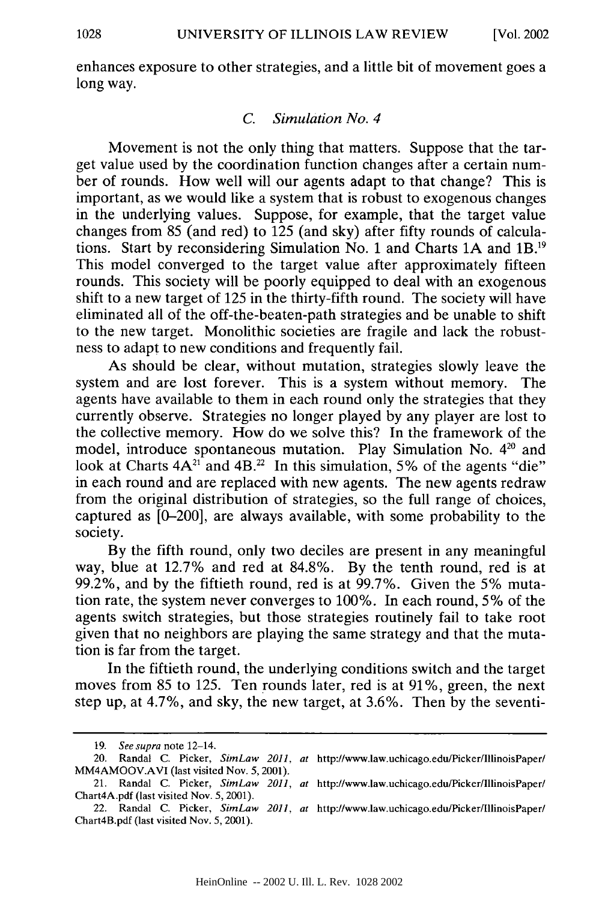enhances exposure to other strategies, and a little bit of movement goes a long way.

#### *C. Simulation No. 4*

Movement is not the only thing that matters. Suppose that the target value used by the coordination function changes after a certain number of rounds. How well will our agents adapt to that change? This is important, as we would like a system that is robust to exogenous changes in the underlying values. Suppose, for example, that the target value changes from 85 (and red) to 125 (and sky) after fifty rounds of calculations. Start by reconsidering Simulation No. 1 and Charts 1A and 1B.<sup>19</sup> This model converged to the target value after approximately fifteen rounds. This society will be poorly equipped to deal with an exogenous shift to a new target of 125 in the thirty-fifth round. The society will have eliminated all of the off-the-beaten-path strategies and be unable to shift to the new target. Monolithic societies are fragile and lack the robustness to adapt to new conditions and frequently fail.

As should be clear, without mutation, strategies slowly leave the system and are lost forever. This is a system without memory. The agents have available to them in each round only the strategies that they currently observe. Strategies no longer played by any player are lost to the collective memory. How do we solve this? In the framework of the model, introduce spontaneous mutation. Play Simulation No. **420** and look at Charts  $4A^{21}$  and  $4B^{22}$  In this simulation, 5% of the agents "die" in each round and are replaced with new agents. The new agents redraw from the original distribution of strategies, so the full range of choices, captured as [0-200], are always available, with some probability to the society.

By the fifth round, only two deciles are present in any meaningful way, blue at 12.7% and red at 84.8%. By the tenth round, red is at 99.2%, and by the fiftieth round, red is at 99.7%. Given the 5% mutation rate, the system never converges to 100%. In each round, 5% of the agents switch strategies, but those strategies routinely fail to take root given that no neighbors are playing the same strategy and that the mutation is far from the target.

In the fiftieth round, the underlying conditions switch and the target moves from 85 to 125. Ten rounds later, red is at 91%, green, the next step up, at 4.7%, and sky, the new target, at 3.6%. Then by the seventi-

<sup>19.</sup> *See supra* note 12-14.

<sup>20.</sup> Randal C. Picker, *SimLaw 2011, at* http://www.law.uchicago.edu/Picker/IllinoisPaper/ MM4AMOOV.AVI (last visited Nov. 5,2001).

<sup>21.</sup> Randal C. Picker, *SimLaw 2011, at* http://www.law.uchicago.edu/Picker/IllinoisPaper/ Chart4A.pdf (last visited Nov. 5, 2001).

<sup>22.</sup> Randal C. Picker, *SimLaw 2011, at* http://www.law.uchicago.edu/Picker/IllinoisPaper/ Chart4B.pdf (last visited Nov. 5, 2001).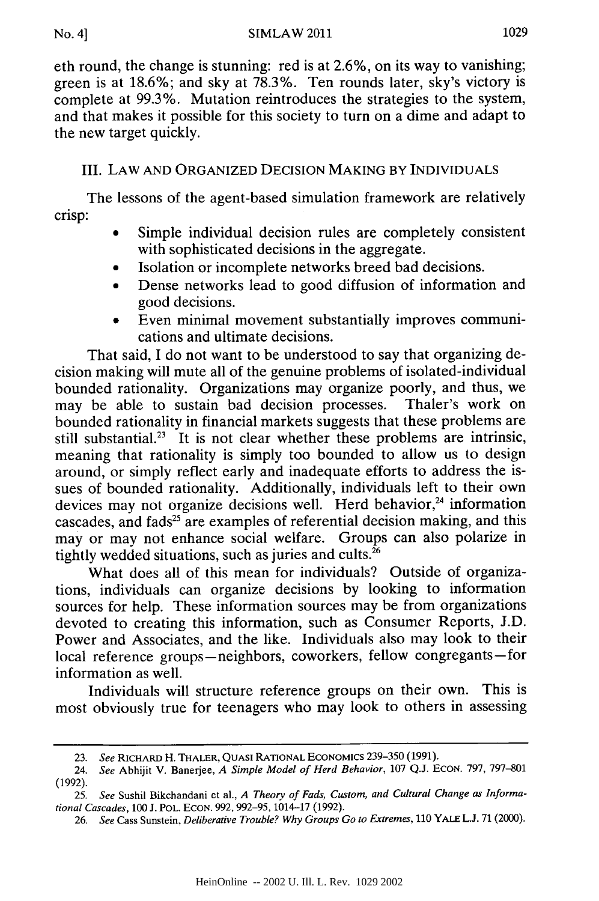eth round, the change is stunning: red is at 2.6%, on its way to vanishing; green is at 18.6%; and sky at 78.3%. Ten rounds later, sky's victory is complete at 99.3%. Mutation reintroduces the strategies to the system, and that makes it possible for this society to turn on a dime and adapt to the new target quickly.

## III. LAW AND ORGANIZED DECISION MAKING BY INDIVIDUALS

The lessons of the agent-based simulation framework are relatively crisp:

- Simple individual decision rules are completely consistent with sophisticated decisions in the aggregate.
- Isolation or incomplete networks breed bad decisions.
- Dense networks lead to good diffusion of information and good decisions.
- Even minimal movement substantially improves communications and ultimate decisions.

That said, I do not want to be understood to say that organizing decision making will mute all of the genuine problems of isolated-individual bounded rationality. Organizations may organize poorly, and thus, we may be able to sustain bad decision processes. Thaler's work on bounded rationality in financial markets suggests that these problems are still substantial.<sup>23</sup> It is not clear whether these problems are intrinsic, meaning that rationality is simply too bounded to allow us to design around, or simply reflect early and inadequate efforts to address the issues of bounded rationality. Additionally, individuals left to their own devices may not organize decisions well. Herd behavior,<sup>24</sup> information cascades, and fads<sup>25</sup> are examples of referential decision making, and this may or may not enhance social welfare. Groups can also polarize in tightly wedded situations, such as juries and cults.26

What does all of this mean for individuals? Outside of organizations, individuals can organize decisions by looking to information sources for help. These information sources may be from organizations devoted to creating this information, such as Consumer Reports, J.D. Power and Associates, and the like. Individuals also may look to their local reference groups-neighbors, coworkers, fellow congregants-for information as well.

Individuals will structure reference groups on their own. This is most obviously true for teenagers who may look to others in assessing

<sup>23.</sup> *See* RICHARD H. THALER, **QUASI** RATIONAL ECONOMICS 239-350 (1991).

<sup>24.</sup> *See* Abhijit V. Banerjee, *A Simple Model of Herd Behavior,* **107** Q.J. ECON. 797, 797-801 (1992).

<sup>25.</sup> *See* Sushil Bikchandani et al., *A Theory of Fads, Custom, and Cultural Change as Informational Cascades, 100* J. POL. **ECON. 992,** 992-95, 1014-17 (1992).

<sup>26.</sup> *See* Cass Sunstein, *Deliberative Trouble? Why Groups Go to Extremes, 110* YALE **L.J. 71** (2000).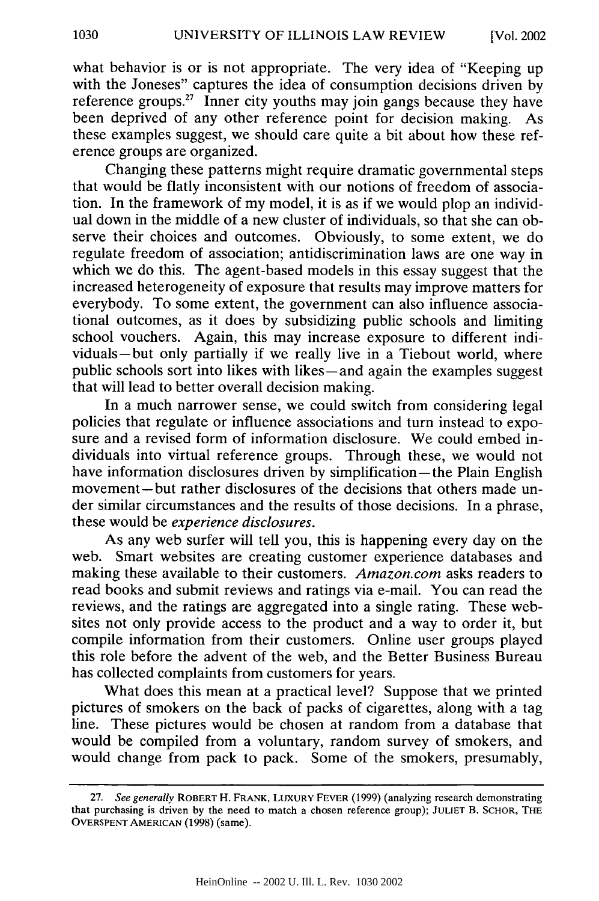what behavior is or is not appropriate. The very idea of "Keeping up with the Joneses" captures the idea of consumption decisions driven by reference groups.<sup>27</sup> Inner city youths may join gangs because they have been deprived of any other reference point for decision making. As these examples suggest, we should care quite a bit about how these reference groups are organized.

Changing these patterns might require dramatic governmental steps that would be flatly inconsistent with our notions of freedom of association. In the framework of my model, it is as if we would plop an individual down in the middle of a new cluster of individuals, so that she can observe their choices and outcomes. Obviously, to some extent, we do regulate freedom of association; antidiscrimination laws are one way in which we do this. The agent-based models in this essay suggest that the increased heterogeneity of exposure that results may improve matters for everybody. To some extent, the government can also influence associational outcomes, as it does by subsidizing public schools and limiting school vouchers. Again, this may increase exposure to different individuals-but only partially if we really live in a Tiebout world, where public schools sort into likes with likes-and again the examples suggest that will lead to better overall decision making.

In a much narrower sense, we could switch from considering legal policies that regulate or influence associations and turn instead to exposure and a revised form of information disclosure. We could embed individuals into virtual reference groups. Through these, we would not have information disclosures driven by simplification—the Plain English movement-but rather disclosures of the decisions that others made under similar circumstances and the results of those decisions. In a phrase, these would be *experience disclosures.*

As any web surfer will tell you, this is happening every day on the web. Smart websites are creating customer experience databases and making these available to their customers. *Amazon.com* asks readers to read books and submit reviews and ratings via e-mail. You can read the reviews, and the ratings are aggregated into a single rating. These websites not only provide access to the product and a way to order it, but compile information from their customers. Online user groups played this role before the advent of the web, and the Better Business Bureau has collected complaints from customers for years.

What does this mean at a practical level? Suppose that we printed pictures of smokers on the back of packs of cigarettes, along with a tag line. These pictures would be chosen at random from a database that would be compiled from a voluntary, random survey of smokers, and would change from pack to pack. Some of the smokers, presumably,

<sup>27.</sup> *See generally* ROBERT H. FRANK, LUXURY FEVER (1999) (analyzing research demonstrating that purchasing is driven by the need to match a chosen reference group); **JULIET** B. SCHOR, **THE** OVERSPENT AMERICAN (1998) (same).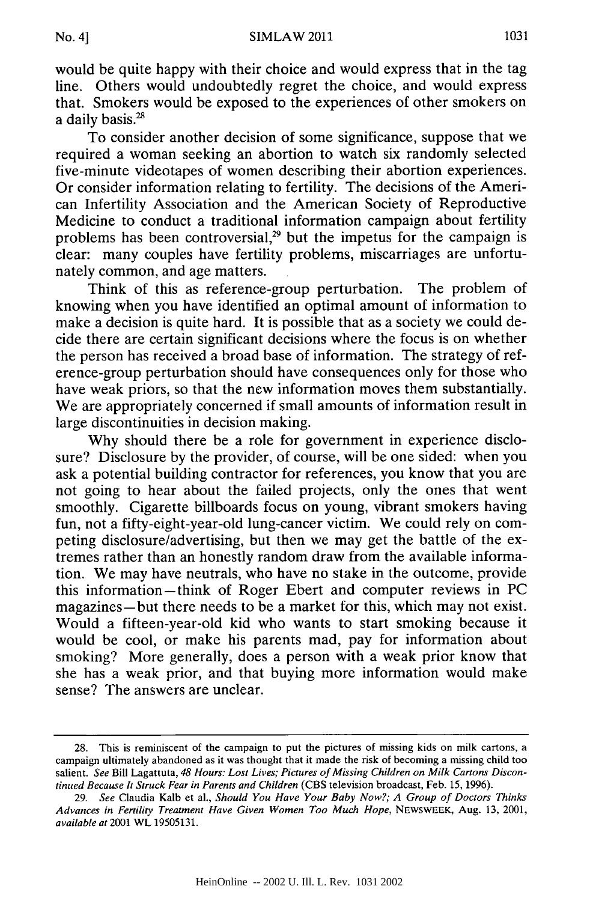would be quite happy with their choice and would express that in the tag line. Others would undoubtedly regret the choice, and would express that. Smokers would be exposed to the experiences of other smokers on a daily basis.<sup>28</sup>

To consider another decision of some significance, suppose that we required a woman seeking an abortion to watch six randomly selected five-minute videotapes of women describing their abortion experiences. Or consider information relating to fertility. The decisions of the American Infertility Association and the American Society of Reproductive Medicine to conduct a traditional information campaign about fertility problems has been controversial, $29$  but the impetus for the campaign is clear: many couples have fertility problems, miscarriages are unfortunately common, and age matters.

Think of this as reference-group perturbation. The problem of knowing when you have identified an optimal amount of information to make a decision is quite hard. It is possible that as a society we could decide there are certain significant decisions where the focus is on whether the person has received a broad base of information. The strategy of reference-group perturbation should have consequences only for those who have weak priors, so that the new information moves them substantially. We are appropriately concerned if small amounts of information result in large discontinuities in decision making.

Why should there be a role for government in experience disclosure? Disclosure by the provider, of course, will be one sided: when you ask a potential building contractor for references, you know that you are not going to hear about the failed projects, only the ones that went smoothly. Cigarette billboards focus on young, vibrant smokers having fun, not a fifty-eight-year-old lung-cancer victim. We could rely on competing disclosure/advertising, but then we may get the battle of the extremes rather than an honestly random draw from the available information. We may have neutrals, who have no stake in the outcome, provide this information-think of Roger Ebert and computer reviews in PC magazines-but there needs to be a market for this, which may not exist. Would a fifteen-year-old kid who wants to start smoking because it would be cool, or make his parents mad, pay for information about smoking? More generally, does a person with a weak prior know that she has a weak prior, and that buying more information would make sense? The answers are unclear.

<sup>28.</sup> This is reminiscent of the campaign to put the pictures of missing kids on milk cartons, a campaign ultimately abandoned as it was thought that it made the risk of becoming a missing child too salient. *See* Bill Lagattuta, *48 Hours: Lost Lives; Pictures of Missing Children on Milk Cartons Discontinued Because It Struck Fear in Parents and Children* (CBS television broadcast, Feb. 15, 1996).

<sup>29.</sup> *See* Claudia Kalb et al., *Should You Have Your Baby Now?; A Group of Doctors Thinks Advances in Fertility Treatment Have Given Women Too Much Hope,* NEWSWEEK, Aug. **13,** 2001, *available at* 2001 WL 19505131.